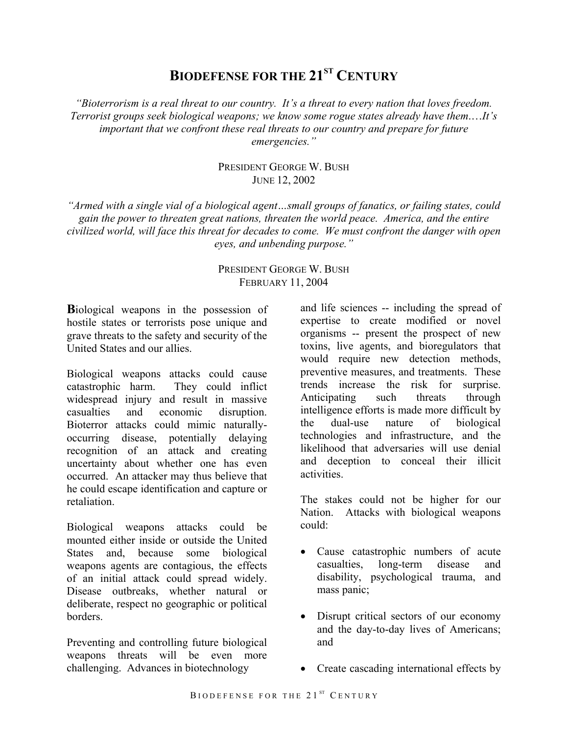# **BIODEFENSE FOR THE 21ST CENTURY**

*"Bioterrorism is a real threat to our country. It's a threat to every nation that loves freedom. Terrorist groups seek biological weapons; we know some rogue states already have them*.…*It's important that we confront these real threats to our country and prepare for future emergencies."* 

> PRESIDENT GEORGE W. BUSH JUNE 12, 2002

*"Armed with a single vial of a biological agent…small groups of fanatics, or failing states, could gain the power to threaten great nations, threaten the world peace. America, and the entire civilized world, will face this threat for decades to come. We must confront the danger with open eyes, and unbending purpose."* 

#### PRESIDENT GEORGE W. BUSH FEBRUARY 11, 2004

**B**iological weapons in the possession of hostile states or terrorists pose unique and grave threats to the safety and security of the United States and our allies.

Biological weapons attacks could cause catastrophic harm. They could inflict widespread injury and result in massive casualties and economic disruption. Bioterror attacks could mimic naturallyoccurring disease, potentially delaying recognition of an attack and creating uncertainty about whether one has even occurred. An attacker may thus believe that he could escape identification and capture or retaliation **retaliation** The stakes could not be higher for our

Biological weapons attacks could be could: mounted either inside or outside the United States and, because some biological weapons agents are contagious, the effects of an initial attack could spread widely. Disease outbreaks, whether natural or deliberate, respect no geographic or political borders.

Preventing and controlling future biological and weapons threats will be even more challenging. Advances in biotechnology • Create cascading international effects by

and life sciences -- including the spread of expertise to create modified or novel organisms -- present the prospect of new toxins, live agents, and bioregulators that would require new detection methods, preventive measures, and treatments. These trends increase the risk for surprise. Anticipating such threats through intelligence efforts is made more difficult by the dual-use nature of biological technologies and infrastructure, and the likelihood that adversaries will use denial and deception to conceal their illicit activities.

Nation. Attacks with biological weapons

- Cause catastrophic numbers of acute casualties, long-term disease and disability, psychological trauma, and mass panic;
- Disrupt critical sectors of our economy and the day-to-day lives of Americans;
-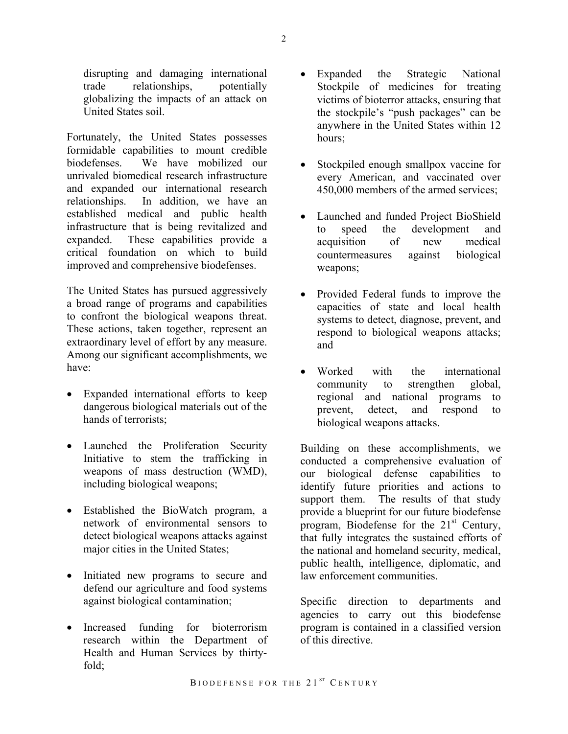disrupting and damaging international trade relationships, potentially globalizing the impacts of an attack on United States soil.

Fortunately, the United States possesses hours; formidable capabilities to mount credible biodefenses. We have mobilized our unrivaled biomedical research infrastructure and expanded our international research relationships. In addition, we have an established medical and public health infrastructure that is being revitalized and expanded. These capabilities provide a critical foundation on which to build improved and comprehensive biodefenses.

The United States has pursued aggressively a broad range of programs and capabilities to confront the biological weapons threat. These actions, taken together, represent an extraordinary level of effort by any measure. Among our significant accomplishments, we have:

- Expanded international efforts to keep dangerous biological materials out of the hands of terrorists;
- Launched the Proliferation Security Initiative to stem the trafficking in weapons of mass destruction (WMD), including biological weapons;
- Established the BioWatch program, a network of environmental sensors to detect biological weapons attacks against major cities in the United States;
- Initiated new programs to secure and defend our agriculture and food systems
- Increased funding for bioterrorism research within the Department of Health and Human Services by thirtyfold;
- Expanded the Strategic National Stockpile of medicines for treating victims of bioterror attacks, ensuring that the stockpile's "push packages" can be anywhere in the United States within 12
- Stockpiled enough smallpox vaccine for every American, and vaccinated over 450,000 members of the armed services;
- Launched and funded Project BioShield to speed the development and acquisition of new medical countermeasures against biological weapons;
- Provided Federal funds to improve the capacities of state and local health systems to detect, diagnose, prevent, and respond to biological weapons attacks; and
- Worked with the international community to strengthen global, regional and national programs to prevent, detect, and respond to biological weapons attacks.

Building on these accomplishments, we conducted a comprehensive evaluation of our biological defense capabilities to identify future priorities and actions to support them. The results of that study provide a blueprint for our future biodefense program, Biodefense for the  $21<sup>st</sup>$  Century, that fully integrates the sustained efforts of the national and homeland security, medical, public health, intelligence, diplomatic, and law enforcement communities.

against biological contamination; Specific direction to departments and agencies to carry out this biodefense program is contained in a classified version of this directive.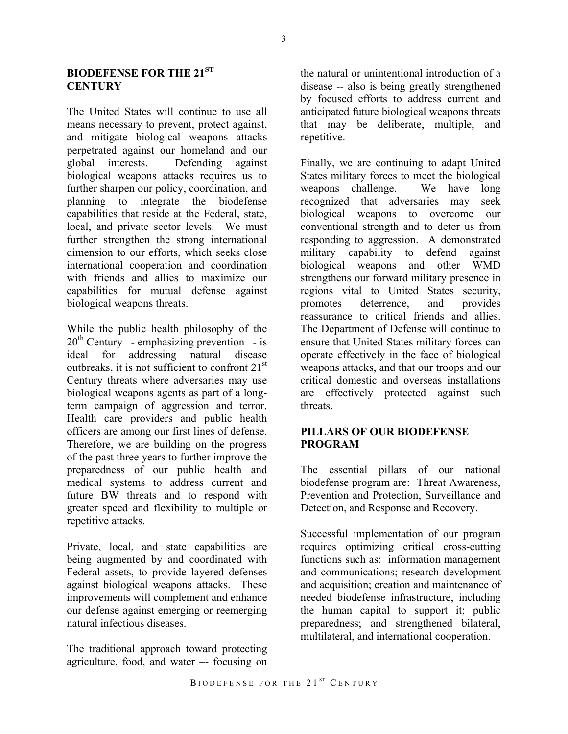# **BIODEFENSE FOR THE 21ST CENTURY**

The United States will continue to use all means necessary to prevent, protect against, and mitigate biological weapons attacks perpetrated against our homeland and our global interests. Defending against biological weapons attacks requires us to further sharpen our policy, coordination, and planning to integrate the biodefense capabilities that reside at the Federal, state, local, and private sector levels. We must further strengthen the strong international dimension to our efforts, which seeks close international cooperation and coordination with friends and allies to maximize our capabilities for mutual defense against biological weapons threats.

While the public health philosophy of the  $20<sup>th</sup>$  Century –– emphasizing prevention –– is ideal for addressing natural disease outbreaks, it is not sufficient to confront  $21<sup>st</sup>$ Century threats where adversaries may use biological weapons agents as part of a longterm campaign of aggression and terror. Health care providers and public health officers are among our first lines of defense. Therefore, we are building on the progress of the past three years to further improve the preparedness of our public health and medical systems to address current and future BW threats and to respond with greater speed and flexibility to multiple or repetitive attacks.

Private, local, and state capabilities are being augmented by and coordinated with Federal assets, to provide layered defenses against biological weapons attacks. These improvements will complement and enhance our defense against emerging or reemerging natural infectious diseases.

The traditional approach toward protecting agriculture, food, and water –- focusing on the natural or unintentional introduction of a disease -- also is being greatly strengthened by focused efforts to address current and anticipated future biological weapons threats that may be deliberate, multiple, and repetitive.

Finally, we are continuing to adapt United States military forces to meet the biological weapons challenge. We have long recognized that adversaries may seek biological weapons to overcome our conventional strength and to deter us from responding to aggression. A demonstrated military capability to defend against biological weapons and other WMD strengthens our forward military presence in regions vital to United States security, promotes deterrence, and provides reassurance to critical friends and allies. The Department of Defense will continue to ensure that United States military forces can operate effectively in the face of biological weapons attacks, and that our troops and our critical domestic and overseas installations are effectively protected against such threats.

# **PILLARS OF OUR BIODEFENSE PROGRAM**

The essential pillars of our national biodefense program are: Threat Awareness, Prevention and Protection, Surveillance and Detection, and Response and Recovery.

Successful implementation of our program requires optimizing critical cross-cutting functions such as: information management and communications; research development and acquisition; creation and maintenance of needed biodefense infrastructure, including the human capital to support it; public preparedness; and strengthened bilateral, multilateral, and international cooperation.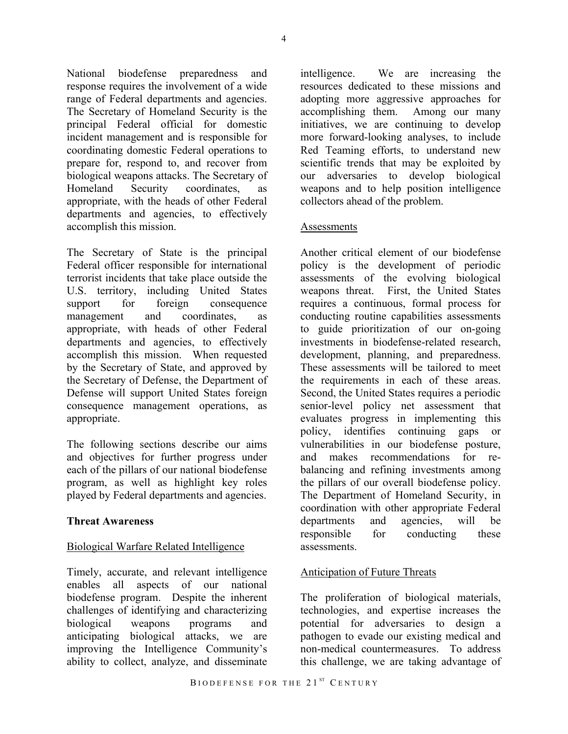National biodefense preparedness and response requires the involvement of a wide range of Federal departments and agencies. The Secretary of Homeland Security is the principal Federal official for domestic incident management and is responsible for coordinating domestic Federal operations to prepare for, respond to, and recover from biological weapons attacks. The Secretary of Homeland Security coordinates, as appropriate, with the heads of other Federal departments and agencies, to effectively accomplish this mission.

The Secretary of State is the principal Federal officer responsible for international terrorist incidents that take place outside the U.S. territory, including United States support for foreign consequence management and coordinates, as appropriate, with heads of other Federal departments and agencies, to effectively accomplish this mission. When requested by the Secretary of State, and approved by the Secretary of Defense, the Department of Defense will support United States foreign consequence management operations, as appropriate.

The following sections describe our aims and objectives for further progress under each of the pillars of our national biodefense program, as well as highlight key roles played by Federal departments and agencies.

## **Threat Awareness**

## Biological Warfare Related Intelligence

Timely, accurate, and relevant intelligence enables all aspects of our national biodefense program. Despite the inherent challenges of identifying and characterizing biological weapons programs and anticipating biological attacks, we are improving the Intelligence Community's ability to collect, analyze, and disseminate

intelligence. We are increasing the resources dedicated to these missions and adopting more aggressive approaches for accomplishing them. Among our many initiatives, we are continuing to develop more forward-looking analyses, to include Red Teaming efforts, to understand new scientific trends that may be exploited by our adversaries to develop biological weapons and to help position intelligence collectors ahead of the problem.

## Assessments

Another critical element of our biodefense policy is the development of periodic assessments of the evolving biological weapons threat. First, the United States requires a continuous, formal process for conducting routine capabilities assessments to guide prioritization of our on-going investments in biodefense-related research, development, planning, and preparedness. These assessments will be tailored to meet the requirements in each of these areas. Second, the United States requires a periodic senior-level policy net assessment that evaluates progress in implementing this policy, identifies continuing gaps or vulnerabilities in our biodefense posture, and makes recommendations for rebalancing and refining investments among the pillars of our overall biodefense policy. The Department of Homeland Security, in coordination with other appropriate Federal departments and agencies, will be responsible for conducting these assessments.

# Anticipation of Future Threats

The proliferation of biological materials, technologies, and expertise increases the potential for adversaries to design a pathogen to evade our existing medical and non-medical countermeasures. To address this challenge, we are taking advantage of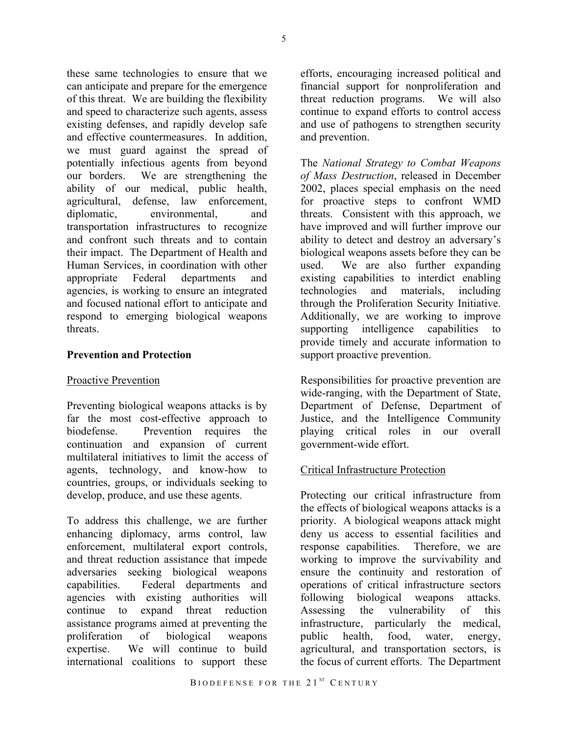these same technologies to ensure that we can anticipate and prepare for the emergence of this threat. We are building the flexibility and speed to characterize such agents, assess existing defenses, and rapidly develop safe and effective countermeasures. In addition, we must guard against the spread of potentially infectious agents from beyond our borders. We are strengthening the ability of our medical, public health, agricultural, defense, law enforcement, diplomatic, environmental, and transportation infrastructures to recognize and confront such threats and to contain their impact. The Department of Health and Human Services, in coordination with other appropriate Federal departments and agencies, is working to ensure an integrated and focused national effort to anticipate and respond to emerging biological weapons threats.

## **Prevention and Protection**

#### Proactive Prevention

Preventing biological weapons attacks is by far the most cost-effective approach to biodefense. Prevention requires the continuation and expansion of current multilateral initiatives to limit the access of agents, technology, and know-how to countries, groups, or individuals seeking to develop, produce, and use these agents.

To address this challenge, we are further enhancing diplomacy, arms control, law enforcement, multilateral export controls, and threat reduction assistance that impede adversaries seeking biological weapons capabilities. Federal departments and agencies with existing authorities will continue to expand threat reduction assistance programs aimed at preventing the proliferation of biological weapons expertise. We will continue to build international coalitions to support these

efforts, encouraging increased political and financial support for nonproliferation and threat reduction programs. We will also continue to expand efforts to control access and use of pathogens to strengthen security and prevention.

The *National Strategy to Combat Weapons of Mass Destruction*, released in December 2002, places special emphasis on the need for proactive steps to confront WMD threats. Consistent with this approach, we have improved and will further improve our ability to detect and destroy an adversary's biological weapons assets before they can be used. We are also further expanding existing capabilities to interdict enabling technologies and materials, including through the Proliferation Security Initiative. Additionally, we are working to improve supporting intelligence capabilities to provide timely and accurate information to support proactive prevention.

Responsibilities for proactive prevention are wide-ranging, with the Department of State, Department of Defense, Department of Justice, and the Intelligence Community playing critical roles in our overall government-wide effort.

## Critical Infrastructure Protection

Protecting our critical infrastructure from the effects of biological weapons attacks is a priority. A biological weapons attack might deny us access to essential facilities and response capabilities. Therefore, we are working to improve the survivability and ensure the continuity and restoration of operations of critical infrastructure sectors following biological weapons attacks. Assessing the vulnerability of this infrastructure, particularly the medical, public health, food, water, energy, agricultural, and transportation sectors, is the focus of current efforts. The Department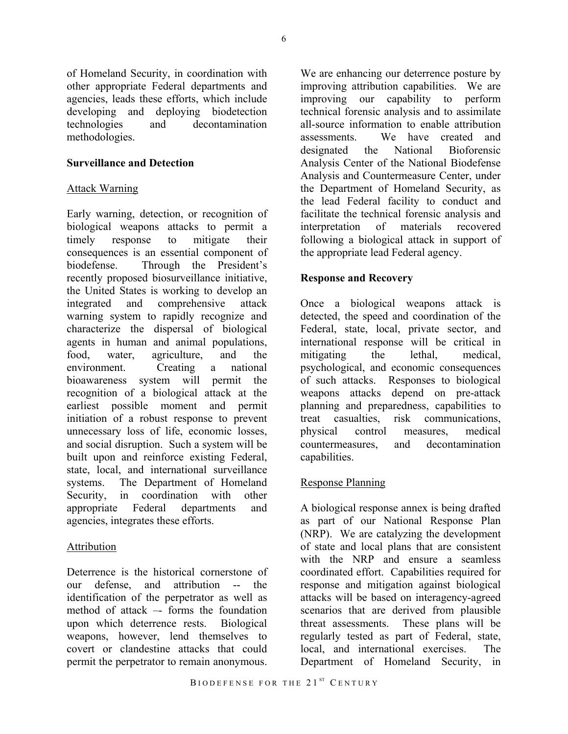of Homeland Security, in coordination with other appropriate Federal departments and agencies, leads these efforts, which include developing and deploying biodetection technologies and decontamination methodologies.

## **Surveillance and Detection**

## Attack Warning

Early warning, detection, or recognition of biological weapons attacks to permit a timely response to mitigate their consequences is an essential component of biodefense. Through the President's recently proposed biosurveillance initiative, the United States is working to develop an integrated and comprehensive attack warning system to rapidly recognize and characterize the dispersal of biological agents in human and animal populations, food, water, agriculture, and the environment. Creating a national bioawareness system will permit the recognition of a biological attack at the earliest possible moment and permit initiation of a robust response to prevent unnecessary loss of life, economic losses, and social disruption. Such a system will be built upon and reinforce existing Federal, state, local, and international surveillance systems. The Department of Homeland Security, in coordination with other appropriate Federal departments and agencies, integrates these efforts.

## Attribution

Deterrence is the historical cornerstone of our defense, and attribution -- the identification of the perpetrator as well as method of attack –- forms the foundation upon which deterrence rests. Biological weapons, however, lend themselves to covert or clandestine attacks that could permit the perpetrator to remain anonymous.

We are enhancing our deterrence posture by improving attribution capabilities. We are improving our capability to perform technical forensic analysis and to assimilate all-source information to enable attribution assessments. We have created and designated the National Bioforensic Analysis Center of the National Biodefense Analysis and Countermeasure Center, under the Department of Homeland Security, as the lead Federal facility to conduct and facilitate the technical forensic analysis and interpretation of materials recovered following a biological attack in support of the appropriate lead Federal agency.

## **Response and Recovery**

Once a biological weapons attack is detected, the speed and coordination of the Federal, state, local, private sector, and international response will be critical in mitigating the lethal, medical, psychological, and economic consequences of such attacks. Responses to biological weapons attacks depend on pre-attack planning and preparedness, capabilities to treat casualties, risk communications, physical control measures, medical countermeasures, and decontamination capabilities.

# Response Planning

A biological response annex is being drafted as part of our National Response Plan (NRP). We are catalyzing the development of state and local plans that are consistent with the NRP and ensure a seamless coordinated effort. Capabilities required for response and mitigation against biological attacks will be based on interagency-agreed scenarios that are derived from plausible threat assessments. These plans will be regularly tested as part of Federal, state, local, and international exercises. The Department of Homeland Security, in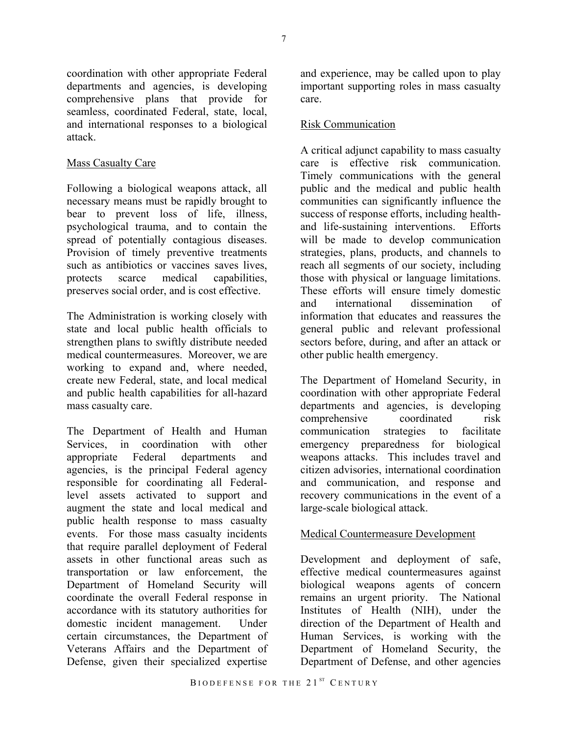coordination with other appropriate Federal departments and agencies, is developing comprehensive plans that provide for seamless, coordinated Federal, state, local, and international responses to a biological attack.

## Mass Casualty Care

Following a biological weapons attack, all necessary means must be rapidly brought to bear to prevent loss of life, illness, psychological trauma, and to contain the spread of potentially contagious diseases. Provision of timely preventive treatments such as antibiotics or vaccines saves lives, protects scarce medical capabilities, preserves social order, and is cost effective.

The Administration is working closely with state and local public health officials to strengthen plans to swiftly distribute needed medical countermeasures. Moreover, we are working to expand and, where needed, create new Federal, state, and local medical and public health capabilities for all-hazard mass casualty care.

The Department of Health and Human Services, in coordination with other appropriate Federal departments and agencies, is the principal Federal agency responsible for coordinating all Federallevel assets activated to support and augment the state and local medical and public health response to mass casualty events. For those mass casualty incidents that require parallel deployment of Federal assets in other functional areas such as transportation or law enforcement, the Department of Homeland Security will coordinate the overall Federal response in accordance with its statutory authorities for domestic incident management. Under certain circumstances, the Department of Veterans Affairs and the Department of Defense, given their specialized expertise

and experience, may be called upon to play important supporting roles in mass casualty care.

## Risk Communication

A critical adjunct capability to mass casualty care is effective risk communication. Timely communications with the general public and the medical and public health communities can significantly influence the success of response efforts, including healthand life-sustaining interventions. Efforts will be made to develop communication strategies, plans, products, and channels to reach all segments of our society, including those with physical or language limitations. These efforts will ensure timely domestic and international dissemination of information that educates and reassures the general public and relevant professional sectors before, during, and after an attack or other public health emergency.

The Department of Homeland Security, in coordination with other appropriate Federal departments and agencies, is developing comprehensive coordinated risk communication strategies to facilitate emergency preparedness for biological weapons attacks. This includes travel and citizen advisories, international coordination and communication, and response and recovery communications in the event of a large-scale biological attack.

# Medical Countermeasure Development

Development and deployment of safe, effective medical countermeasures against biological weapons agents of concern remains an urgent priority. The National Institutes of Health (NIH), under the direction of the Department of Health and Human Services, is working with the Department of Homeland Security, the Department of Defense, and other agencies